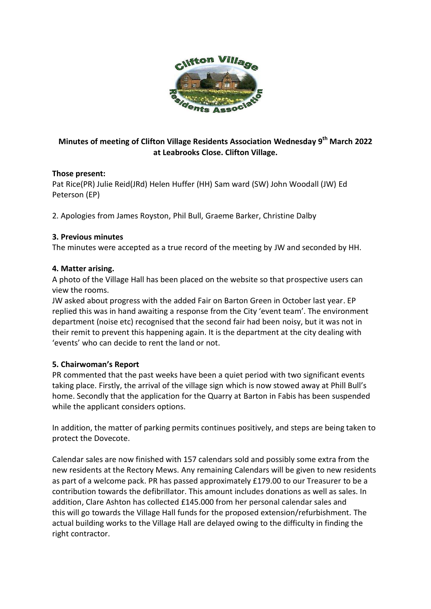

# **Minutes of meeting of Clifton Village Residents Association Wednesday 9 th March 2022 at Leabrooks Close. Clifton Village.**

## **Those present:**

Pat Rice(PR) Julie Reid(JRd) Helen Huffer (HH) Sam ward (SW) John Woodall (JW) Ed Peterson (EP)

2. Apologies from James Royston, Phil Bull, Graeme Barker, Christine Dalby

## **3. Previous minutes**

The minutes were accepted as a true record of the meeting by JW and seconded by HH.

### **4. Matter arising.**

A photo of the Village Hall has been placed on the website so that prospective users can view the rooms.

JW asked about progress with the added Fair on Barton Green in October last year. EP replied this was in hand awaiting a response from the City 'event team'. The environment department (noise etc) recognised that the second fair had been noisy, but it was not in their remit to prevent this happening again. It is the department at the city dealing with 'events' who can decide to rent the land or not.

## **5. Chairwoman's Report**

PR commented that the past weeks have been a quiet period with two significant events taking place. Firstly, the arrival of the village sign which is now stowed away at Phill Bull's home. Secondly that the application for the Quarry at Barton in Fabis has been suspended while the applicant considers options.

In addition, the matter of parking permits continues positively, and steps are being taken to protect the Dovecote.

Calendar sales are now finished with 157 calendars sold and possibly some extra from the new residents at the Rectory Mews. Any remaining Calendars will be given to new residents as part of a welcome pack. PR has passed approximately £179.00 to our Treasurer to be a contribution towards the defibrillator. This amount includes donations as well as sales. In addition, Clare Ashton has collected £145.000 from her personal calendar sales and this will go towards the Village Hall funds for the proposed extension/refurbishment. The actual building works to the Village Hall are delayed owing to the difficulty in finding the right contractor.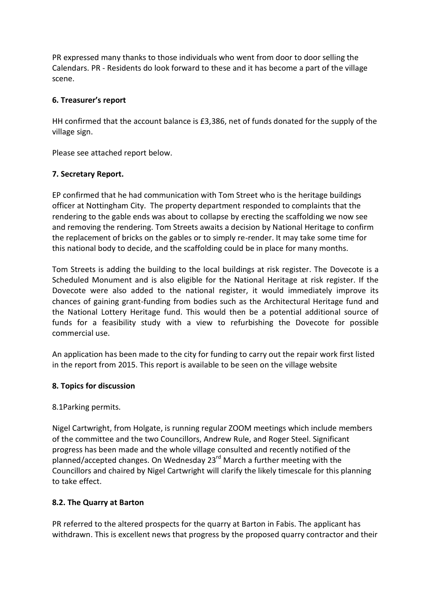PR expressed many thanks to those individuals who went from door to door selling the Calendars. PR - Residents do look forward to these and it has become a part of the village scene.

## **6. Treasurer's report**

HH confirmed that the account balance is £3,386, net of funds donated for the supply of the village sign.

Please see attached report below.

# **7. Secretary Report.**

EP confirmed that he had communication with Tom Street who is the heritage buildings officer at Nottingham City. The property department responded to complaints that the rendering to the gable ends was about to collapse by erecting the scaffolding we now see and removing the rendering. Tom Streets awaits a decision by National Heritage to confirm the replacement of bricks on the gables or to simply re-render. It may take some time for this national body to decide, and the scaffolding could be in place for many months.

Tom Streets is adding the building to the local buildings at risk register. The Dovecote is a Scheduled Monument and is also eligible for the National Heritage at risk register. If the Dovecote were also added to the national register, it would immediately improve its chances of gaining grant-funding from bodies such as the Architectural Heritage fund and the National Lottery Heritage fund. This would then be a potential additional source of funds for a feasibility study with a view to refurbishing the Dovecote for possible commercial use.

An application has been made to the city for funding to carry out the repair work first listed in the report from 2015. This report is available to be seen on the village website

# **8. Topics for discussion**

## 8.1Parking permits.

Nigel Cartwright, from Holgate, is running regular ZOOM meetings which include members of the committee and the two Councillors, Andrew Rule, and Roger Steel. Significant progress has been made and the whole village consulted and recently notified of the planned/accepted changes. On Wednesday 23rd March a further meeting with the Councillors and chaired by Nigel Cartwright will clarify the likely timescale for this planning to take effect.

# **8.2. The Quarry at Barton**

PR referred to the altered prospects for the quarry at Barton in Fabis. The applicant has withdrawn. This is excellent news that progress by the proposed quarry contractor and their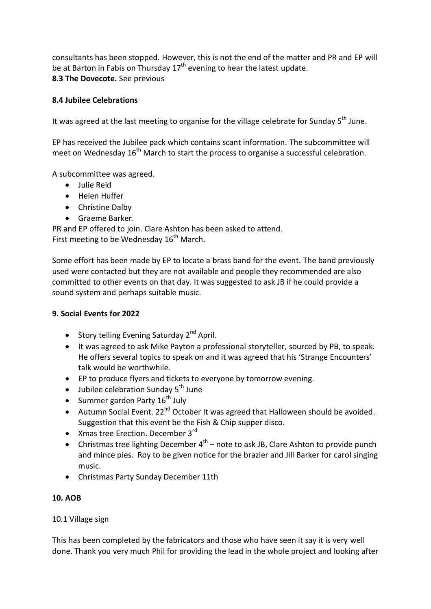consultants has been stopped. However, this is not the end of the matter and PR and EP will be at Barton in Fabis on Thursday  $17<sup>th</sup>$  evening to hear the latest update. **8.3 The Dovecote.** See previous

## **8.4 Jubilee Celebrations**

It was agreed at the last meeting to organise for the village celebrate for Sunday  $5<sup>th</sup>$  June.

EP has received the Jubilee pack which contains scant information. The subcommittee will meet on Wednesday  $16<sup>th</sup>$  March to start the process to organise a successful celebration.

A subcommittee was agreed.

- Julie Reid
- Helen Huffer
- Christine Dalby
- Graeme Barker.

PR and EP offered to join. Clare Ashton has been asked to attend. First meeting to be Wednesday  $16<sup>th</sup>$  March.

Some effort has been made by EP to locate a brass band for the event. The band previously used were contacted but they are not available and people they recommended are also committed to other events on that day. It was suggested to ask JB if he could provide a sound system and perhaps suitable music.

## **9. Social Events for 2022**

- Story telling Evening Saturday  $2^{nd}$  April.
- It was agreed to ask Mike Payton a professional storyteller, sourced by PB, to speak. He offers several topics to speak on and it was agreed that his 'Strange Encounters' talk would be worthwhile.
- EP to produce flyers and tickets to everyone by tomorrow evening.
- $\bullet$  Jubilee celebration Sunday 5<sup>th</sup> June
- Summer garden Party  $16^{th}$  July
- Autumn Social Event.  $22^{nd}$  October It was agreed that Halloween should be avoided. Suggestion that this event be the Fish & Chip supper disco.
- $\bullet$  Xmas tree Erection. December 3 $^{rd}$
- Christmas tree lighting December  $4^{th}$  note to ask JB, Clare Ashton to provide punch and mince pies. Roy to be given notice for the brazier and Jill Barker for carol singing music.
- Christmas Party Sunday December 11th

## **10. AOB**

## 10.1 Village sign

This has been completed by the fabricators and those who have seen it say it is very well done. Thank you very much Phil for providing the lead in the whole project and looking after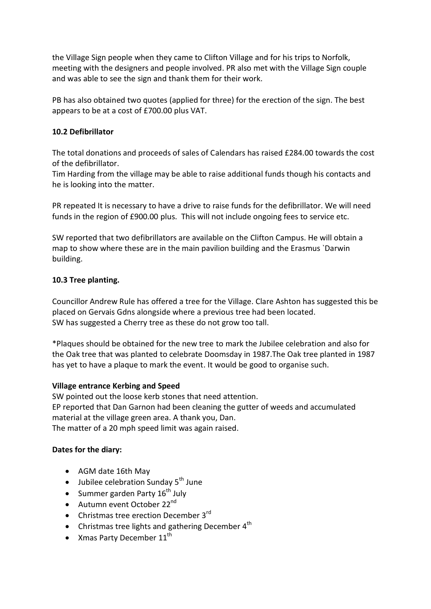the Village Sign people when they came to Clifton Village and for his trips to Norfolk, meeting with the designers and people involved. PR also met with the Village Sign couple and was able to see the sign and thank them for their work.

PB has also obtained two quotes (applied for three) for the erection of the sign. The best appears to be at a cost of £700.00 plus VAT.

### **10.2 Defibrillator**

The total donations and proceeds of sales of Calendars has raised £284.00 towards the cost of the defibrillator.

Tim Harding from the village may be able to raise additional funds though his contacts and he is looking into the matter.

PR repeated It is necessary to have a drive to raise funds for the defibrillator. We will need funds in the region of £900.00 plus. This will not include ongoing fees to service etc.

SW reported that two defibrillators are available on the Clifton Campus. He will obtain a map to show where these are in the main pavilion building and the Erasmus `Darwin building.

### **10.3 Tree planting.**

Councillor Andrew Rule has offered a tree for the Village. Clare Ashton has suggested this be placed on Gervais Gdns alongside where a previous tree had been located. SW has suggested a Cherry tree as these do not grow too tall.

\*Plaques should be obtained for the new tree to mark the Jubilee celebration and also for the Oak tree that was planted to celebrate Doomsday in 1987.The Oak tree planted in 1987 has yet to have a plaque to mark the event. It would be good to organise such.

### **Village entrance Kerbing and Speed**

SW pointed out the loose kerb stones that need attention. EP reported that Dan Garnon had been cleaning the gutter of weeds and accumulated material at the village green area. A thank you, Dan. The matter of a 20 mph speed limit was again raised.

### **Dates for the diary:**

- AGM date 16th May
- $\bullet$  Jubilee celebration Sunday 5<sup>th</sup> June
- Summer garden Party  $16^{th}$  July
- $\bullet$  Autumn event October 22<sup>nd</sup>
- Christmas tree erection December  $3<sup>rd</sup>$
- Christmas tree lights and gathering December  $4<sup>th</sup>$
- Xmas Party December  $11^{\text{th}}$